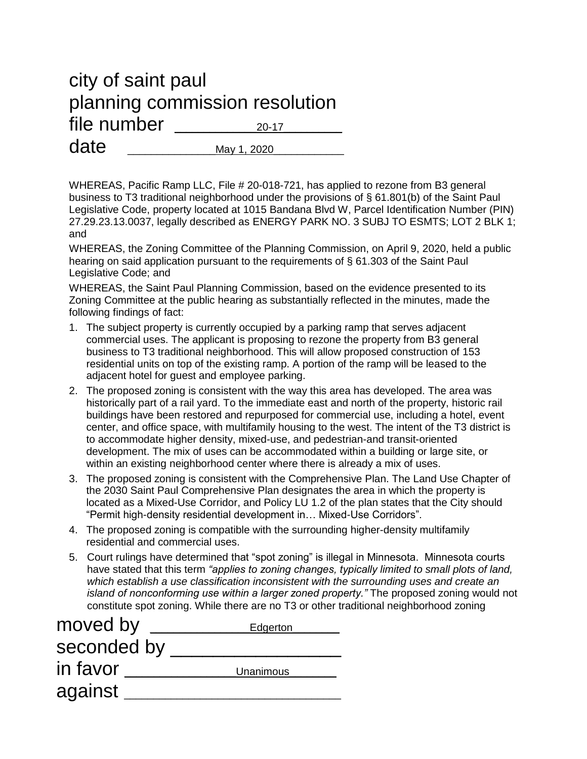## city of saint paul planning commission resolution file number  $_{20-17}$  $date \qquad \qquad \text{Mav 1, 2020}$

WHEREAS, Pacific Ramp LLC, File # 20-018-721, has applied to rezone from B3 general business to T3 traditional neighborhood under the provisions of § 61.801(b) of the Saint Paul Legislative Code, property located at 1015 Bandana Blvd W, Parcel Identification Number (PIN) 27.29.23.13.0037, legally described as ENERGY PARK NO. 3 SUBJ TO ESMTS; LOT 2 BLK 1; and

WHEREAS, the Zoning Committee of the Planning Commission, on April 9, 2020, held a public hearing on said application pursuant to the requirements of § 61.303 of the Saint Paul Legislative Code; and

WHEREAS, the Saint Paul Planning Commission, based on the evidence presented to its Zoning Committee at the public hearing as substantially reflected in the minutes, made the following findings of fact:

- 1. The subject property is currently occupied by a parking ramp that serves adjacent commercial uses. The applicant is proposing to rezone the property from B3 general business to T3 traditional neighborhood. This will allow proposed construction of 153 residential units on top of the existing ramp. A portion of the ramp will be leased to the adjacent hotel for guest and employee parking.
- 2. The proposed zoning is consistent with the way this area has developed. The area was historically part of a rail yard. To the immediate east and north of the property, historic rail buildings have been restored and repurposed for commercial use, including a hotel, event center, and office space, with multifamily housing to the west. The intent of the T3 district is to accommodate higher density, mixed-use, and pedestrian-and transit-oriented development. The mix of uses can be accommodated within a building or large site, or within an existing neighborhood center where there is already a mix of uses.
- 3. The proposed zoning is consistent with the Comprehensive Plan. The Land Use Chapter of the 2030 Saint Paul Comprehensive Plan designates the area in which the property is located as a Mixed-Use Corridor, and Policy LU 1.2 of the plan states that the City should "Permit high-density residential development in… Mixed-Use Corridors".
- 4. The proposed zoning is compatible with the surrounding higher-density multifamily residential and commercial uses.
- 5. Court rulings have determined that "spot zoning" is illegal in Minnesota. Minnesota courts have stated that this term *"applies to zoning changes, typically limited to small plots of land, which establish a use classification inconsistent with the surrounding uses and create an island of nonconforming use within a larger zoned property."* The proposed zoning would not constitute spot zoning. While there are no T3 or other traditional neighborhood zoning

| moved by    | Edgerton  |
|-------------|-----------|
| seconded by |           |
| in favor    | Unanimous |
| against     |           |
|             |           |